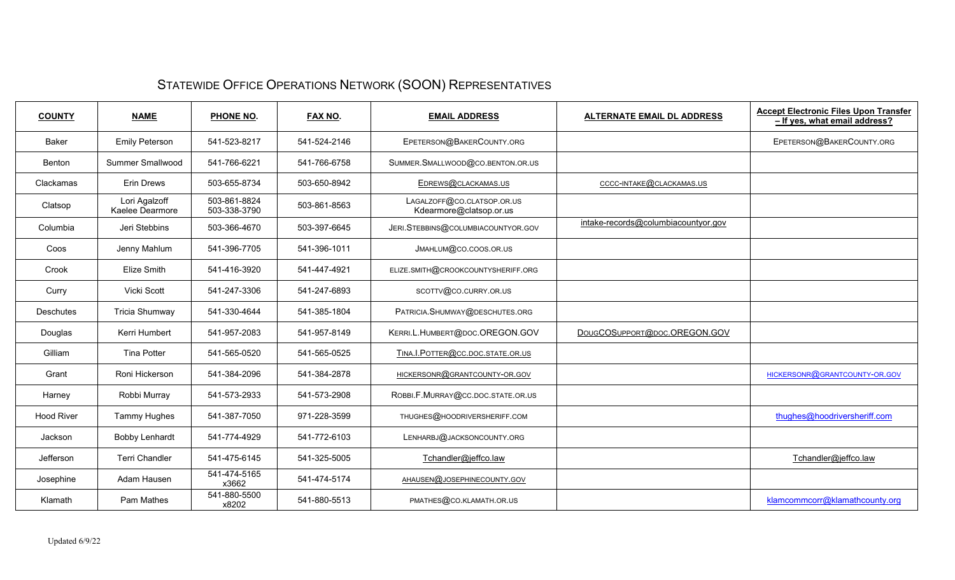## STATEWIDE OFFICE OPERATIONS NETWORK (SOON) REPRESENTATIVES

| <b>COUNTY</b>     | <b>NAME</b>                      | PHONE NO.                    | <b>FAX NO.</b> | <b>EMAIL ADDRESS</b>                                  | <b>ALTERNATE EMAIL DL ADDRESS</b>   | <b>Accept Electronic Files Upon Transfer</b><br>- If yes, what email address? |
|-------------------|----------------------------------|------------------------------|----------------|-------------------------------------------------------|-------------------------------------|-------------------------------------------------------------------------------|
| <b>Baker</b>      | <b>Emily Peterson</b>            | 541-523-8217                 | 541-524-2146   | EPETERSON@BAKERCOUNTY.ORG                             |                                     | EPETERSON@BAKERCOUNTY.ORG                                                     |
| Benton            | <b>Summer Smallwood</b>          | 541-766-6221                 | 541-766-6758   | SUMMER. SMALLWOOD@CO. BENTON.OR.US                    |                                     |                                                                               |
| Clackamas         | <b>Erin Drews</b>                | 503-655-8734                 | 503-650-8942   | EDREWS@CLACKAMAS.US                                   | CCCC-INTAKE@CLACKAMAS.US            |                                                                               |
| Clatsop           | Lori Agalzoff<br>Kaelee Dearmore | 503-861-8824<br>503-338-3790 | 503-861-8563   | LAGALZOFF@CO.CLATSOP.OR.US<br>Kdearmore@clatsop.or.us |                                     |                                                                               |
| Columbia          | Jeri Stebbins                    | 503-366-4670                 | 503-397-6645   | JERI.STEBBINS@COLUMBIACOUNTYOR.GOV                    | intake-records@columbiacountyor.gov |                                                                               |
| Coos              | Jenny Mahlum                     | 541-396-7705                 | 541-396-1011   | JMAHLUM@CO.COOS.OR.US                                 |                                     |                                                                               |
| Crook             | Elize Smith                      | 541-416-3920                 | 541-447-4921   | ELIZE.SMITH@CROOKCOUNTYSHERIFF.ORG                    |                                     |                                                                               |
| Curry             | <b>Vicki Scott</b>               | 541-247-3306                 | 541-247-6893   | SCOTTV@CO.CURRY.OR.US                                 |                                     |                                                                               |
| <b>Deschutes</b>  | <b>Tricia Shumway</b>            | 541-330-4644                 | 541-385-1804   | PATRICIA.SHUMWAY@DESCHUTES.ORG                        |                                     |                                                                               |
| Douglas           | Kerri Humbert                    | 541-957-2083                 | 541-957-8149   | KERRI.L.HUMBERT@DOC.OREGON.GOV                        | DOUGCOSUPPORT@DOC.OREGON.GOV        |                                                                               |
| Gilliam           | <b>Tina Potter</b>               | 541-565-0520                 | 541-565-0525   | TINA.I.POTTER@CC.DOC.STATE.OR.US                      |                                     |                                                                               |
| Grant             | Roni Hickerson                   | 541-384-2096                 | 541-384-2878   | HICKERSONR@GRANTCOUNTY-OR.GOV                         |                                     | HICKERSONR@GRANTCOUNTY-OR.GOV                                                 |
| Harney            | Robbi Murray                     | 541-573-2933                 | 541-573-2908   | ROBBI.F.MURRAY@CC.DOC.STATE.OR.US                     |                                     |                                                                               |
| <b>Hood River</b> | Tammy Hughes                     | 541-387-7050                 | 971-228-3599   | THUGHES@HOODRIVERSHERIFF.COM                          |                                     | thughes@hoodriversheriff.com                                                  |
| Jackson           | <b>Bobby Lenhardt</b>            | 541-774-4929                 | 541-772-6103   | LENHARBJ@JACKSONCOUNTY.ORG                            |                                     |                                                                               |
| Jefferson         | <b>Terri Chandler</b>            | 541-475-6145                 | 541-325-5005   | Tchandler@jeffco.law                                  |                                     | Tchandler@jeffco.law                                                          |
| Josephine         | Adam Hausen                      | 541-474-5165<br>x3662        | 541-474-5174   | AHAUSEN@JOSEPHINECOUNTY.GOV                           |                                     |                                                                               |
| Klamath           | Pam Mathes                       | 541-880-5500<br>x8202        | 541-880-5513   | PMATHES@CO.KLAMATH.OR.US                              |                                     | klamcommcorr@klamathcounty.org                                                |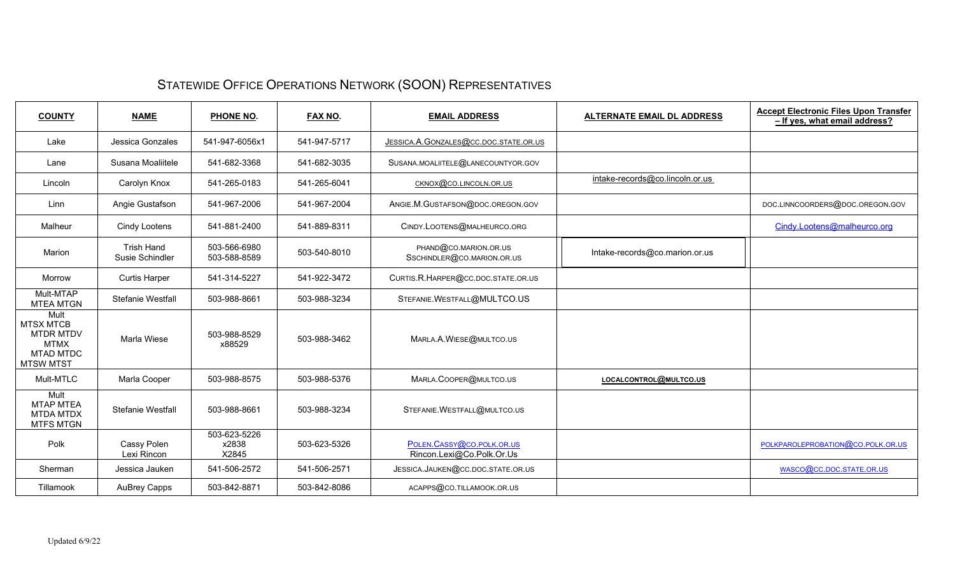## STATEWIDE OFFICE OPERATIONS NETWORK (SOON) REPRESENTATIVES

| <b>COUNTY</b>                                                                                       | <b>NAME</b>                          | PHONE NO.                      | <b>FAX NO.</b> | <b>EMAIL ADDRESS</b><br><b>ALTERNATE EMAIL DL ADDRESS</b> |                                 | <b>Accept Electronic Files Upon Transfer</b><br>- If yes, what email address? |
|-----------------------------------------------------------------------------------------------------|--------------------------------------|--------------------------------|----------------|-----------------------------------------------------------|---------------------------------|-------------------------------------------------------------------------------|
| Lake                                                                                                | Jessica Gonzales                     | 541-947-6056x1                 | 541-947-5717   | JESSICA.A.GONZALES@CC.DOC.STATE.OR.US                     |                                 |                                                                               |
| Lane                                                                                                | Susana Moaliitele                    | 541-682-3368                   | 541-682-3035   | SUSANA.MOALIITELE@LANECOUNTYOR.GOV                        |                                 |                                                                               |
| Lincoln                                                                                             | Carolyn Knox                         | 541-265-0183                   | 541-265-6041   | CKNOX@CO.LINCOLN.OR.US                                    | intake-records@co.lincoln.or.us |                                                                               |
| Linn                                                                                                | Angie Gustafson                      | 541-967-2006                   | 541-967-2004   | ANGIE.M.GUSTAFSON@DOC.OREGON.GOV                          |                                 | DOC.LINNCOORDERS@DOC.OREGON.GOV                                               |
| Malheur                                                                                             | <b>Cindy Lootens</b>                 | 541-881-2400                   | 541-889-8311   | CINDY.LOOTENS@MALHEURCO.ORG                               |                                 | Cindy.Lootens@malheurco.org                                                   |
| Marion                                                                                              | <b>Trish Hand</b><br>Susie Schindler | 503-566-6980<br>503-588-8589   | 503-540-8010   | PHAND@CO.MARION.OR.US<br>SSCHINDLER@CO.MARION.OR.US       | Intake-records@co.marion.or.us  |                                                                               |
| Morrow                                                                                              | <b>Curtis Harper</b>                 | 541-314-5227                   | 541-922-3472   | CURTIS.R.HARPER@CC.DOC.STATE.OR.US                        |                                 |                                                                               |
| Mult-MTAP<br><b>MTEA MTGN</b>                                                                       | Stefanie Westfall                    | 503-988-8661                   | 503-988-3234   | STEFANIE.WESTFALL@MULTCO.US                               |                                 |                                                                               |
| Mult<br><b>MTSX MTCB</b><br><b>MTDR MTDV</b><br><b>MTMX</b><br><b>MTAD MTDC</b><br><b>MTSW MTST</b> | Marla Wiese                          | 503-988-8529<br>x88529         | 503-988-3462   | MARLA.A.WIESE@MULTCO.US                                   |                                 |                                                                               |
| Mult-MTLC                                                                                           | Marla Cooper                         | 503-988-8575                   | 503-988-5376   | MARLA.COOPER@MULTCO.US                                    | LOCALCONTROL@MULTCO.US          |                                                                               |
| Mult<br><b>MTAP MTEA</b><br><b>MTDA MTDX</b><br><b>MTFS MTGN</b>                                    | Stefanie Westfall                    | 503-988-8661                   | 503-988-3234   | STEFANIE.WESTFALL@MULTCO.US                               |                                 |                                                                               |
| Polk                                                                                                | Cassy Polen<br>Lexi Rincon           | 503-623-5226<br>x2838<br>X2845 | 503-623-5326   | POLEN.CASSY@CO.POLK.OR.US<br>Rincon.Lexi@Co.Polk.Or.Us    |                                 | POLKPAROLEPROBATION@CO.POLK.OR.US                                             |
| Sherman                                                                                             | Jessica Jauken                       | 541-506-2572                   | 541-506-2571   | JESSICA.JAUKEN@CC.DOC.STATE.OR.US                         |                                 | WASCO@CC.DOC.STATE.OR.US                                                      |
| Tillamook                                                                                           | <b>AuBrey Capps</b>                  | 503-842-8871                   | 503-842-8086   | ACAPPS@CO.TILLAMOOK.OR.US                                 |                                 |                                                                               |